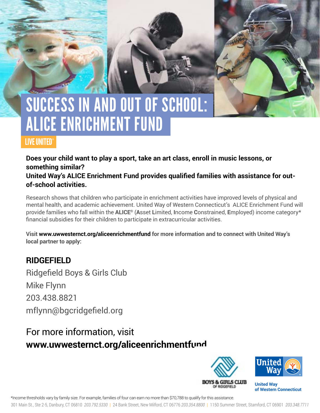# SUCCESS IN AND OUT OF SCHOOL: ALICE EnRICHMENT FUND

### LIVE UNITED®

**Does your child want to play a sport, take an art class, enroll in music lessons, or something similar?** 

**United Way's ALICE Enrichment Fund provides qualified families with assistance for outof-school activities.** 

Research shows that children who participate in enrichment activities have improved levels of physical and mental health, and academic achievement. United Way of Western Connecticut's ALICE Enrichment Fund will provide families who fall within the **ALICE®** (**A**sset **L**imited, **I**ncome **C**onstrained, **E**mployed) income category\* financial subsidies for their children to participate in extracurricular activities.

**Visit www.uwwesternct.org/aliceenrichmentfund for more information and to connect with United Way's local partner to apply:**

### **RIDGEFIELD**

Ridgefield Boys & Girls Club Mike Flynn 203.438.8821 mflynn@bgcridgefield.org

## For more information, visit **www.uwwesternct.org/aliceenrichmentfund**



**of Western Connecticut** 

\*Income thresholds vary by family size. For example, families of four can earn no more than \$70,788 to qualify for this assistance.

301 Main St., Ste 2-5, Danbury, CT 06810 *203.792.5330* | 24 Bank Street, New Milford, CT 06776 *203.354.8800* | 1150 Summer Street, Stamford, CT 06901 *203.348.7711*